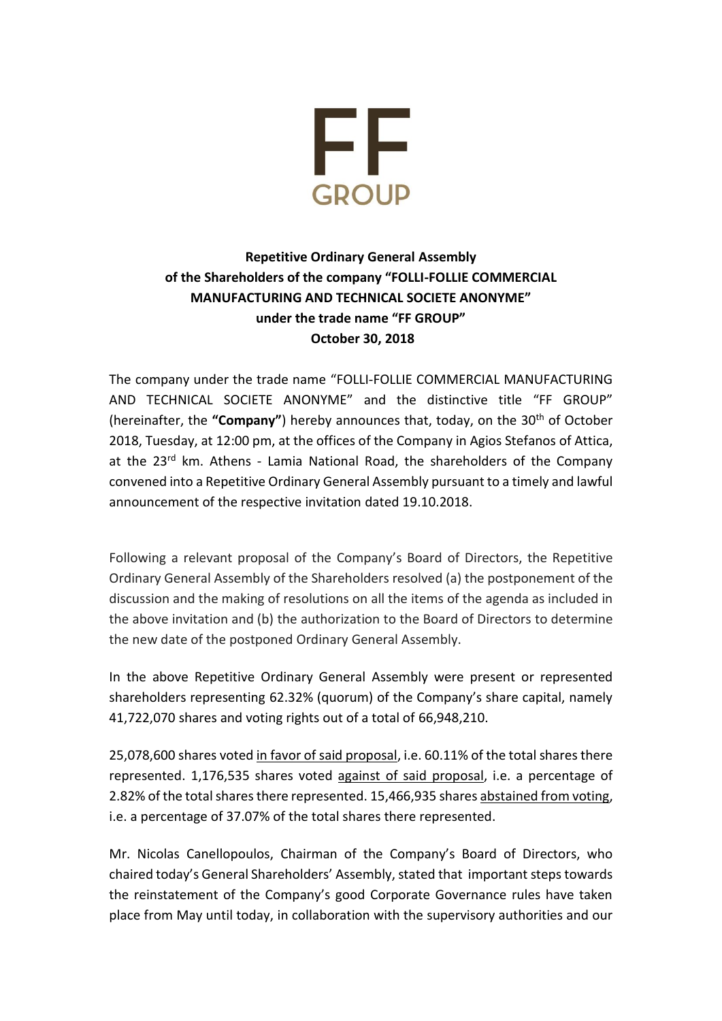

## **Repetitive Ordinary General Assembly of the Shareholders of the company "FOLLI-FOLLIE COMMERCIAL MANUFACTURING AND TECHNICAL SOCIETE ANONYME" under the trade name "FF GROUP" October 30, 2018**

The company under the trade name "FOLLI-FOLLIE COMMERCIAL MANUFACTURING AND TECHNICAL SOCIETE ANONYME" and the distinctive title "FF GROUP" (hereinafter, the "Company") hereby announces that, today, on the 30<sup>th</sup> of October 2018, Tuesday, at 12:00 pm, at the offices of the Company in Agios Stefanos of Attica, at the 23<sup>rd</sup> km. Athens - Lamia National Road, the shareholders of the Company convened into a Repetitive Ordinary General Assembly pursuant to a timely and lawful announcement of the respective invitation dated 19.10.2018.

Following a relevant proposal of the Company's Board of Directors, the Repetitive Ordinary General Assembly of the Shareholders resolved (a) the postponement of the discussion and the making of resolutions on all the items of the agenda as included in the above invitation and (b) the authorization to the Board of Directors to determine the new date of the postponed Ordinary General Assembly.

In the above Repetitive Ordinary General Assembly were present or represented shareholders representing 62.32% (quorum) of the Company's share capital, namely 41,722,070 shares and voting rights out of a total of 66,948,210.

25,078,600 shares voted in favor of said proposal, i.e. 60.11% of the total shares there represented. 1,176,535 shares voted against of said proposal, i.e. a percentage of 2.82% of the total shares there represented. 15,466,935 shares abstained from voting, i.e. a percentage of 37.07% of the total shares there represented.

Mr. Nicolas Canellopoulos, Chairman of the Company's Board of Directors, who chaired today's General Shareholders' Assembly, stated that important steps towards the reinstatement of the Company's good Corporate Governance rules have taken place from May until today, in collaboration with the supervisory authorities and our